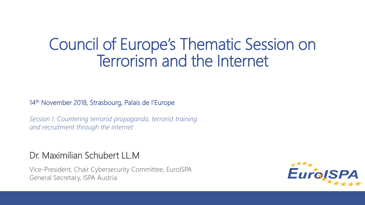### Council of Europe's Thematic Session on Terrorism and the Internet

14th November 2018, Strasbourg, Palais de l'Europe

*Session I: Countering terrorist propaganda, terrorist training and recruitment through the internet*

#### Dr. Maximilian Schubert LL.M

Vice-President, Chair Cybersecurity Committee, EuroISPA General Secretary, ISPA Austria

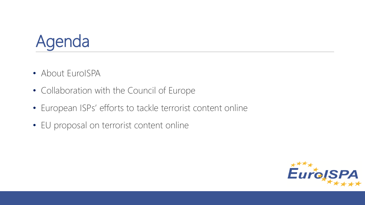

- About EuroISPA
- Collaboration with the Council of Europe
- European ISPs' efforts to tackle terrorist content online
- EU proposal on terrorist content online

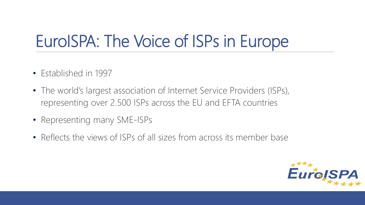### EuroISPA: The Voice of ISPs in Europe

- Established in 1997
- The world's largest association of Internet Service Providers (ISPs), representing over 2.500 ISPs across the EU and EFTA countries
- Representing many SME-ISPs
- Reflects the views of ISPs of all sizes from across its member base

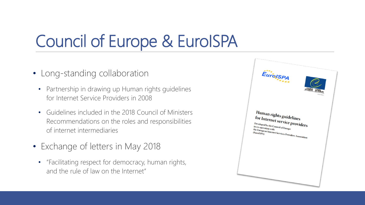## Council of Europe & EuroISPA

- Long-standing collaboration
	- Partnership in drawing up Human rights guidelines for Internet Service Providers in 2008
	- Guidelines included in the 2018 Council of Ministers Recommendations on the roles and responsibilities of internet intermediaries
- Exchange of letters in May 2018
	- "Facilitating respect for democracy, human rights, and the rule of law on the Internet"

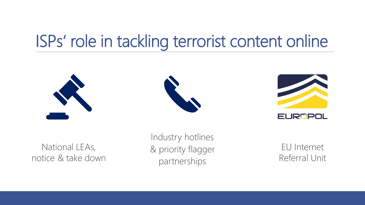### ISPs' role in tackling terrorist content online







| --<br>ш |  |  |
|---------|--|--|
|         |  |  |

National LEAs, notice & take down

Industry hotlines & priority flagger partnerships

EU Internet Referral Unit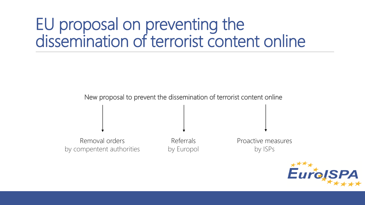New proposal to prevent the dissemination of terrorist content online

Removal orders by compentent authorities

Referrals by Europol Proactive measures by ISPs

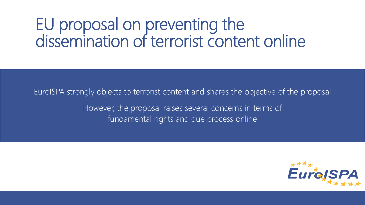EuroISPA strongly objects to terrorist content and shares the objective of the proposal However, the proposal raises several concerns in terms of fundamental rights and due process online

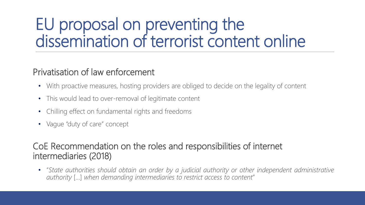#### Privatisation of law enforcement

- With proactive measures, hosting providers are obliged to decide on the legality of content
- This would lead to over-removal of legitimate content
- Chilling effect on fundamental rights and freedoms
- Vague "duty of care" concept

#### CoE Recommendation on the roles and responsibilities of internet intermediaries (2018)

• "*State authorities should obtain an order by a judicial authority or other independent administrative authority* […] *when demanding intermediaries to restrict access to content*"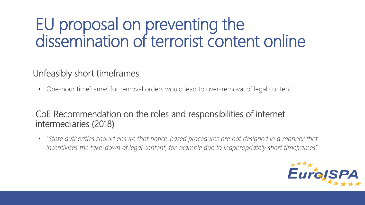#### Unfeasibly short timeframes

• One-hour timeframes for removal orders would lead to over-removal of legal content

#### CoE Recommendation on the roles and responsibilities of internet intermediaries (2018)

• "*State authorities should ensure that notice-based procedures are not designed in a manner that incentivises the take-down of legal content, for example due to inappropriately short timeframes*"

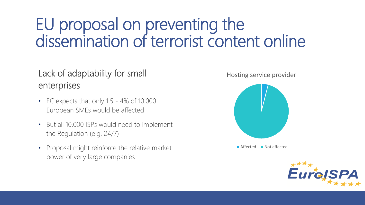### Lack of adaptability for small enterprises

- EC expects that only 1.5 4% of 10.000 European SMEs would be affected
- But all 10.000 ISPs would need to implement the Regulation (e.g. 24/7)
- Proposal might reinforce the relative market power of very large companies

Hosting service provider



 $\blacksquare$  Affected  $\blacksquare$  Not affected

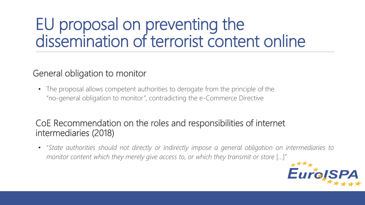#### General obligation to monitor

• The proposal allows competent authorities to derogate from the principle of the "no-general obligation to monitor", contradicting the e-Commerce Directive

#### CoE Recommendation on the roles and responsibilities of internet intermediaries (2018)

• "*State authorities should not directly or indirectly impose a general obligation on intermediaries to monitor content which they merely give access to, or which they transmit or store* […]"

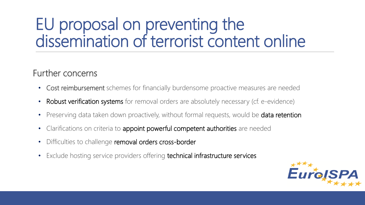#### Further concerns

- Cost reimbursement schemes for financially burdensome proactive measures are needed
- **Robust verification systems** for removal orders are absolutely necessary (cf. e-evidence)
- Preserving data taken down proactively, without formal requests, would be data retention
- Clarifications on criteria to appoint powerful competent authorities are needed
- Difficulties to challenge removal orders cross-border
- Exclude hosting service providers offering technical infrastructure services

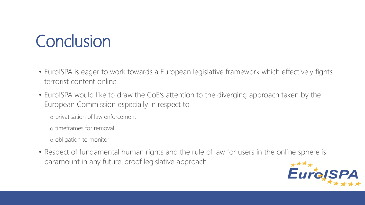### **Conclusion**

- EuroISPA is eager to work towards a European legislative framework which effectively fights terrorist content online
- EuroISPA would like to draw the CoE's attention to the diverging approach taken by the European Commission especially in respect to
	- o privatisation of law enforcement
	- o timeframes for removal
	- o obligation to monitor
- Respect of fundamental human rights and the rule of law for users in the online sphere is paramount in any future-proof legislative approach